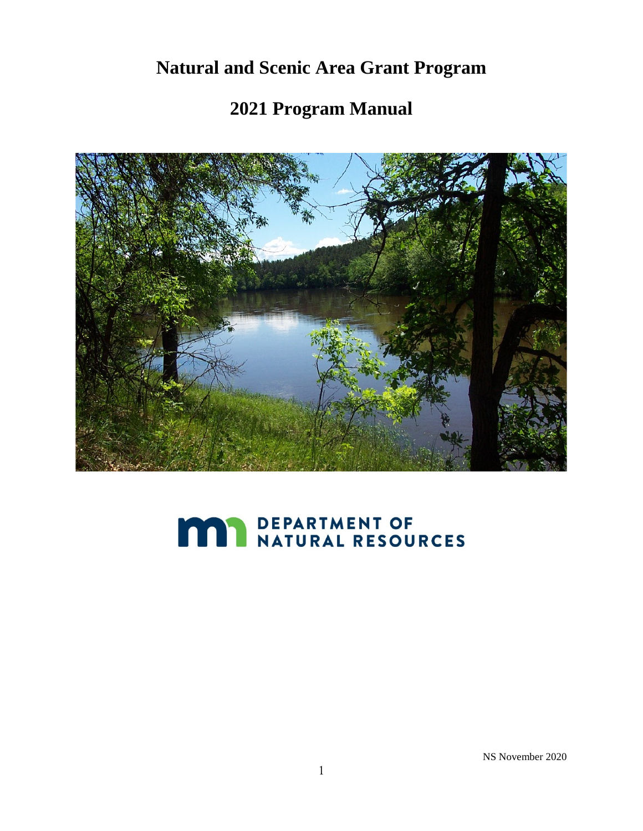# **Natural and Scenic Area Grant Program**

# **2021 Program Manual**



# **MAY DEPARTMENT OF NATURAL RESOURCES**

NS November 2020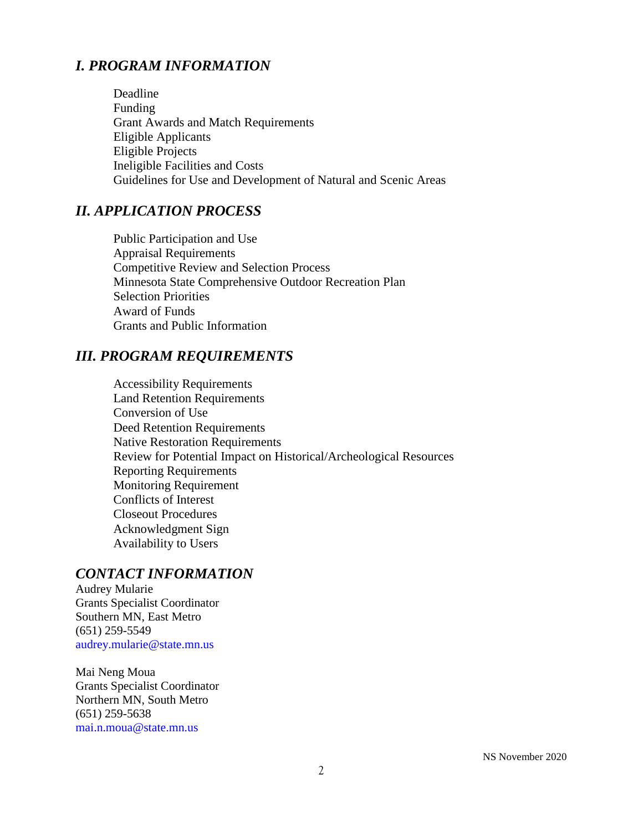# *I. PROGRAM INFORMATION*

Deadline Funding Grant Awards and Match Requirements Eligible Applicants Eligible Projects Ineligible Facilities and Costs Guidelines for Use and Development of Natural and Scenic Areas

# *II. APPLICATION PROCESS*

Public Participation and Use Appraisal Requirements Competitive Review and Selection Process Minnesota State Comprehensive Outdoor Recreation Plan Selection Priorities Award of Funds Grants and Public Information

#### *III. PROGRAM REQUIREMENTS*

Accessibility Requirements Land Retention Requirements Conversion of Use Deed Retention Requirements Native Restoration Requirements Review for Potential Impact on Historical/Archeological Resources Reporting Requirements Monitoring Requirement Conflicts of Interest Closeout Procedures Acknowledgment Sign Availability to Users

#### *CONTACT INFORMATION*

Audrey Mularie Grants Specialist Coordinator Southern MN, East Metro (651) 259-5549 audrey.mularie@state.mn.us

Mai Neng Moua Grants Specialist Coordinator Northern MN, South Metro (651) 259-5638 mai.n.moua@state.mn.us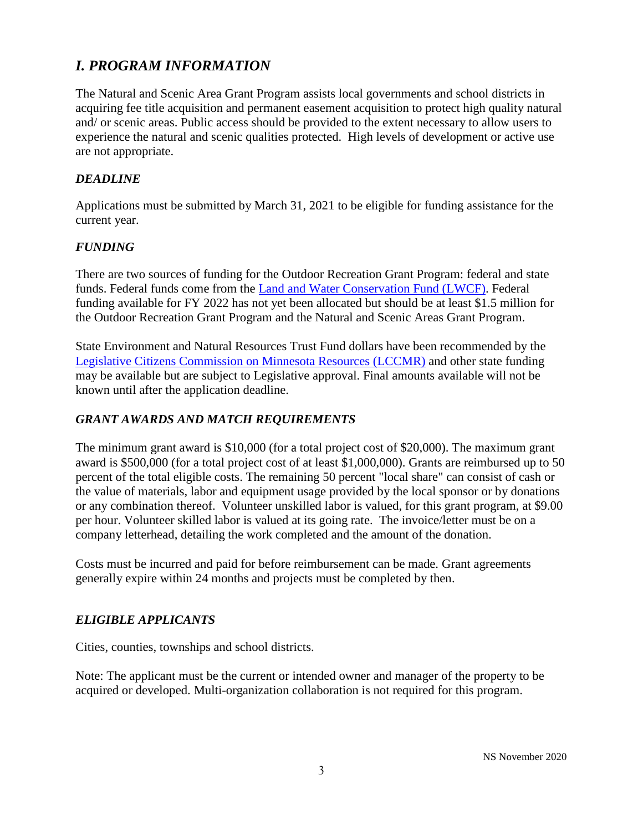# *I. PROGRAM INFORMATION*

The Natural and Scenic Area Grant Program assists local governments and school districts in acquiring fee title acquisition and permanent easement acquisition to protect high quality natural and/ or scenic areas. Public access should be provided to the extent necessary to allow users to experience the natural and scenic qualities protected. High levels of development or active use are not appropriate.

#### *DEADLINE*

Applications must be submitted by March 31, 2021 to be eligible for funding assistance for the current year.

#### *FUNDING*

There are two sources of funding for the Outdoor Recreation Grant Program: federal and state funds. Federal funds come from the [Land and Water Conservation Fund \(LWCF\).](https://www.dnr.state.mn.us/aboutdnr/lawcon/index.html) Federal funding available for FY 2022 has not yet been allocated but should be at least \$1.5 million for the Outdoor Recreation Grant Program and the Natural and Scenic Areas Grant Program.

State Environment and Natural Resources Trust Fund dollars have been recommended by the [Legislative Citizens Commission on Minnesota Resources \(LCCMR\)](https://www.lccmr.leg.mn/) and other state funding may be available but are subject to Legislative approval. Final amounts available will not be known until after the application deadline.

#### *GRANT AWARDS AND MATCH REQUIREMENTS*

The minimum grant award is \$10,000 (for a total project cost of \$20,000). The maximum grant award is \$500,000 (for a total project cost of at least \$1,000,000). Grants are reimbursed up to 50 percent of the total eligible costs. The remaining 50 percent "local share" can consist of cash or the value of materials, labor and equipment usage provided by the local sponsor or by donations or any combination thereof. Volunteer unskilled labor is valued, for this grant program, at \$9.00 per hour. Volunteer skilled labor is valued at its going rate. The invoice/letter must be on a company letterhead, detailing the work completed and the amount of the donation.

Costs must be incurred and paid for before reimbursement can be made. Grant agreements generally expire within 24 months and projects must be completed by then.

#### *ELIGIBLE APPLICANTS*

Cities, counties, townships and school districts.

Note: The applicant must be the current or intended owner and manager of the property to be acquired or developed. Multi-organization collaboration is not required for this program.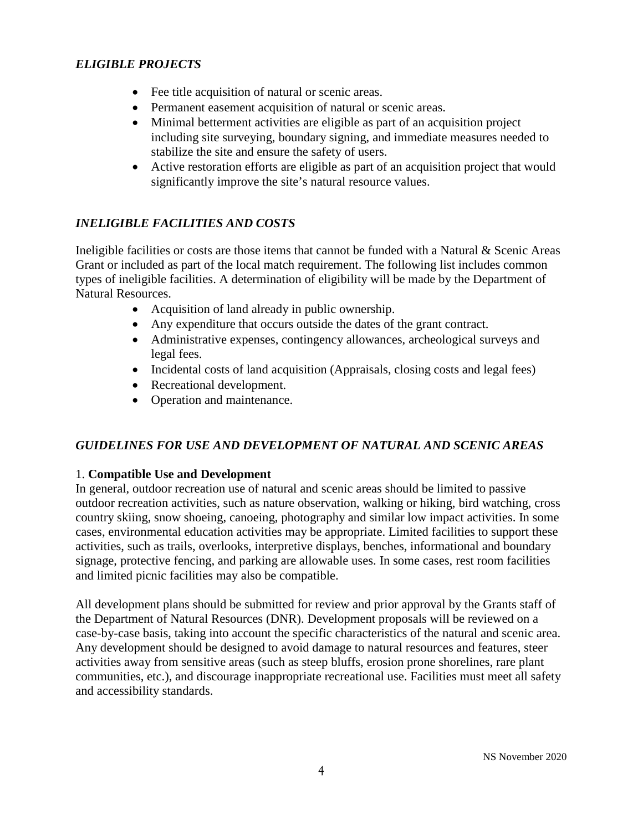#### *ELIGIBLE PROJECTS*

- Fee title acquisition of natural or scenic areas.
- Permanent easement acquisition of natural or scenic areas.
- Minimal betterment activities are eligible as part of an acquisition project including site surveying, boundary signing, and immediate measures needed to stabilize the site and ensure the safety of users.
- Active restoration efforts are eligible as part of an acquisition project that would significantly improve the site's natural resource values.

# *INELIGIBLE FACILITIES AND COSTS*

Ineligible facilities or costs are those items that cannot be funded with a Natural & Scenic Areas Grant or included as part of the local match requirement. The following list includes common types of ineligible facilities. A determination of eligibility will be made by the Department of Natural Resources.

- Acquisition of land already in public ownership.
- Any expenditure that occurs outside the dates of the grant contract.
- Administrative expenses, contingency allowances, archeological surveys and legal fees.
- Incidental costs of land acquisition (Appraisals, closing costs and legal fees)
- Recreational development.
- Operation and maintenance.

# *GUIDELINES FOR USE AND DEVELOPMENT OF NATURAL AND SCENIC AREAS*

#### 1. **Compatible Use and Development**

In general, outdoor recreation use of natural and scenic areas should be limited to passive outdoor recreation activities, such as nature observation, walking or hiking, bird watching, cross country skiing, snow shoeing, canoeing, photography and similar low impact activities. In some cases, environmental education activities may be appropriate. Limited facilities to support these activities, such as trails, overlooks, interpretive displays, benches, informational and boundary signage, protective fencing, and parking are allowable uses. In some cases, rest room facilities and limited picnic facilities may also be compatible.

All development plans should be submitted for review and prior approval by the Grants staff of the Department of Natural Resources (DNR). Development proposals will be reviewed on a case-by-case basis, taking into account the specific characteristics of the natural and scenic area. Any development should be designed to avoid damage to natural resources and features, steer activities away from sensitive areas (such as steep bluffs, erosion prone shorelines, rare plant communities, etc.), and discourage inappropriate recreational use. Facilities must meet all safety and accessibility standards.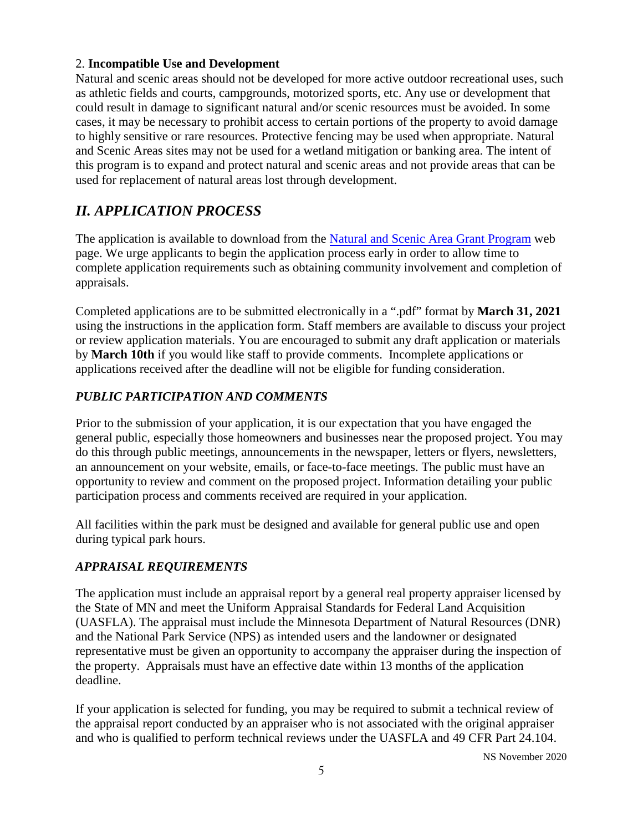#### 2. **Incompatible Use and Development**

Natural and scenic areas should not be developed for more active outdoor recreational uses, such as athletic fields and courts, campgrounds, motorized sports, etc. Any use or development that could result in damage to significant natural and/or scenic resources must be avoided. In some cases, it may be necessary to prohibit access to certain portions of the property to avoid damage to highly sensitive or rare resources. Protective fencing may be used when appropriate. Natural and Scenic Areas sites may not be used for a wetland mitigation or banking area. The intent of this program is to expand and protect natural and scenic areas and not provide areas that can be used for replacement of natural areas lost through development.

# *II. APPLICATION PROCESS*

The application is available to download from the Natural and [Scenic Area](http://www.dnr.state.mn.us/grants/land/natural_scenic-app-cycle.html) Grant Program web page. We urge applicants to begin the application process early in order to allow time to complete application requirements such as obtaining community involvement and completion of appraisals.

Completed applications are to be submitted electronically in a ".pdf" format by **March 31, 2021**  using the instructions in the application form. Staff members are available to discuss your project or review application materials. You are encouraged to submit any draft application or materials by **March 10th** if you would like staff to provide comments. Incomplete applications or applications received after the deadline will not be eligible for funding consideration.

#### *PUBLIC PARTICIPATION AND COMMENTS*

Prior to the submission of your application, it is our expectation that you have engaged the general public, especially those homeowners and businesses near the proposed project. You may do this through public meetings, announcements in the newspaper, letters or flyers, newsletters, an announcement on your website, emails, or face-to-face meetings. The public must have an opportunity to review and comment on the proposed project. Information detailing your public participation process and comments received are required in your application.

All facilities within the park must be designed and available for general public use and open during typical park hours.

# *APPRAISAL REQUIREMENTS*

The application must include an appraisal report by a general real property appraiser licensed by the State of MN and meet the Uniform Appraisal Standards for Federal Land Acquisition (UASFLA). The appraisal must include the Minnesota Department of Natural Resources (DNR) and the National Park Service (NPS) as intended users and the landowner or designated representative must be given an opportunity to accompany the appraiser during the inspection of the property. Appraisals must have an effective date within 13 months of the application deadline.

If your application is selected for funding, you may be required to submit a technical review of the appraisal report conducted by an appraiser who is not associated with the original appraiser and who is qualified to perform technical reviews under the UASFLA and 49 CFR Part 24.104.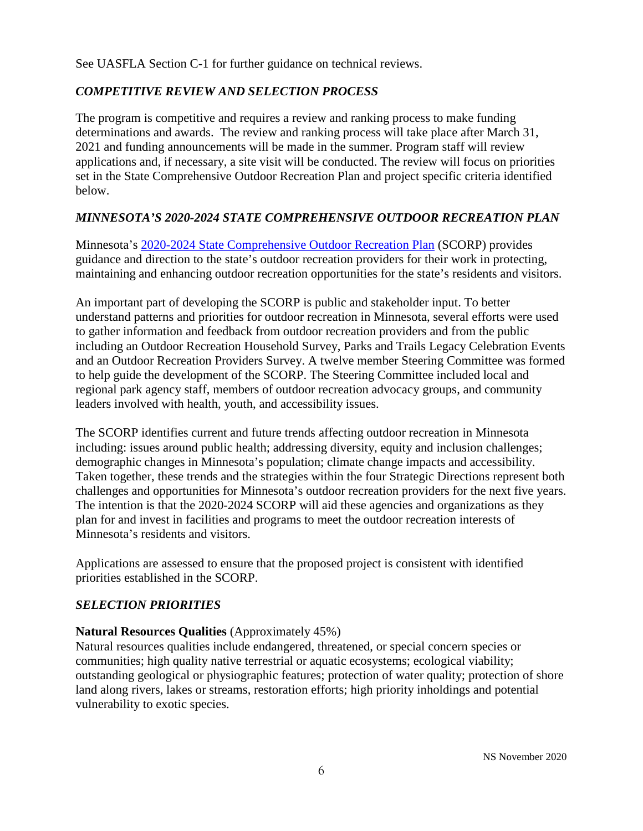See UASFLA Section C-1 for further guidance on technical reviews.

#### *COMPETITIVE REVIEW AND SELECTION PROCESS*

The program is competitive and requires a review and ranking process to make funding determinations and awards. The review and ranking process will take place after March 31, 2021 and funding announcements will be made in the summer. Program staff will review applications and, if necessary, a site visit will be conducted. The review will focus on priorities set in the State Comprehensive Outdoor Recreation Plan and project specific criteria identified below.

#### *MINNESOTA'S 2020-2024 STATE COMPREHENSIVE OUTDOOR RECREATION PLAN*

Minnesota's 2020-2024 [State Comprehensive Outdoor Recreation Plan](http://www.dnr.state.mn.us/aboutdnr/reports/scorp/index.html) (SCORP) provides guidance and direction to the state's outdoor recreation providers for their work in protecting, maintaining and enhancing outdoor recreation opportunities for the state's residents and visitors.

An important part of developing the SCORP is public and stakeholder input. To better understand patterns and priorities for outdoor recreation in Minnesota, several efforts were used to gather information and feedback from outdoor recreation providers and from the public including an Outdoor Recreation Household Survey, Parks and Trails Legacy Celebration Events and an Outdoor Recreation Providers Survey. A twelve member Steering Committee was formed to help guide the development of the SCORP. The Steering Committee included local and regional park agency staff, members of outdoor recreation advocacy groups, and community leaders involved with health, youth, and accessibility issues.

The SCORP identifies current and future trends affecting outdoor recreation in Minnesota including: issues around public health; addressing diversity, equity and inclusion challenges; demographic changes in Minnesota's population; climate change impacts and accessibility. Taken together, these trends and the strategies within the four Strategic Directions represent both challenges and opportunities for Minnesota's outdoor recreation providers for the next five years. The intention is that the 2020-2024 SCORP will aid these agencies and organizations as they plan for and invest in facilities and programs to meet the outdoor recreation interests of Minnesota's residents and visitors.

Applications are assessed to ensure that the proposed project is consistent with identified priorities established in the SCORP.

#### *SELECTION PRIORITIES*

#### **Natural Resources Qualities** (Approximately 45%)

Natural resources qualities include endangered, threatened, or special concern species or communities; high quality native terrestrial or aquatic ecosystems; ecological viability; outstanding geological or physiographic features; protection of water quality; protection of shore land along rivers, lakes or streams, restoration efforts; high priority inholdings and potential vulnerability to exotic species.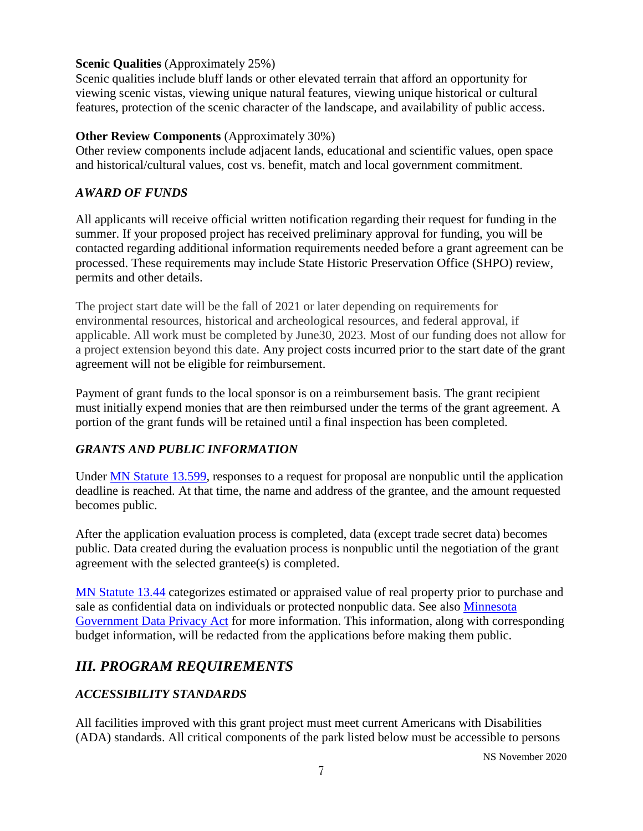#### **Scenic Qualities** (Approximately 25%)

Scenic qualities include bluff lands or other elevated terrain that afford an opportunity for viewing scenic vistas, viewing unique natural features, viewing unique historical or cultural features, protection of the scenic character of the landscape, and availability of public access.

#### **Other Review Components** (Approximately 30%)

Other review components include adjacent lands, educational and scientific values, open space and historical/cultural values, cost vs. benefit, match and local government commitment.

#### *AWARD OF FUNDS*

All applicants will receive official written notification regarding their request for funding in the summer. If your proposed project has received preliminary approval for funding, you will be contacted regarding additional information requirements needed before a grant agreement can be processed. These requirements may include State Historic Preservation Office (SHPO) review, permits and other details.

The project start date will be the fall of 2021 or later depending on requirements for environmental resources, historical and archeological resources, and federal approval, if applicable. All work must be completed by June30, 2023. Most of our funding does not allow for a project extension beyond this date. Any project costs incurred prior to the start date of the grant agreement will not be eligible for reimbursement.

Payment of grant funds to the local sponsor is on a reimbursement basis. The grant recipient must initially expend monies that are then reimbursed under the terms of the grant agreement. A portion of the grant funds will be retained until a final inspection has been completed.

#### *GRANTS AND PUBLIC INFORMATION*

Under [MN Statute 13.599,](https://www.revisor.mn.gov/statutes/?id=13.599) responses to a request for proposal are nonpublic until the application deadline is reached. At that time, the name and address of the grantee, and the amount requested becomes public.

After the application evaluation process is completed, data (except trade secret data) becomes public. Data created during the evaluation process is nonpublic until the negotiation of the grant agreement with the selected grantee(s) is completed.

[MN Statute 13.44](https://www.revisor.mn.gov/statutes/?id=13.44) categorizes estimated or appraised value of real property prior to purchase and sale as confidential data on individuals or protected nonpublic data. See also [Minnesota](https://www.revisor.mn.gov/statutes/cite/13)  [Government Data Privacy Act](https://www.revisor.mn.gov/statutes/cite/13) for more information. This information, along with corresponding budget information, will be redacted from the applications before making them public.

# *III. PROGRAM REQUIREMENTS*

#### *ACCESSIBILITY STANDARDS*

All facilities improved with this grant project must meet current Americans with Disabilities (ADA) standards. All critical components of the park listed below must be accessible to persons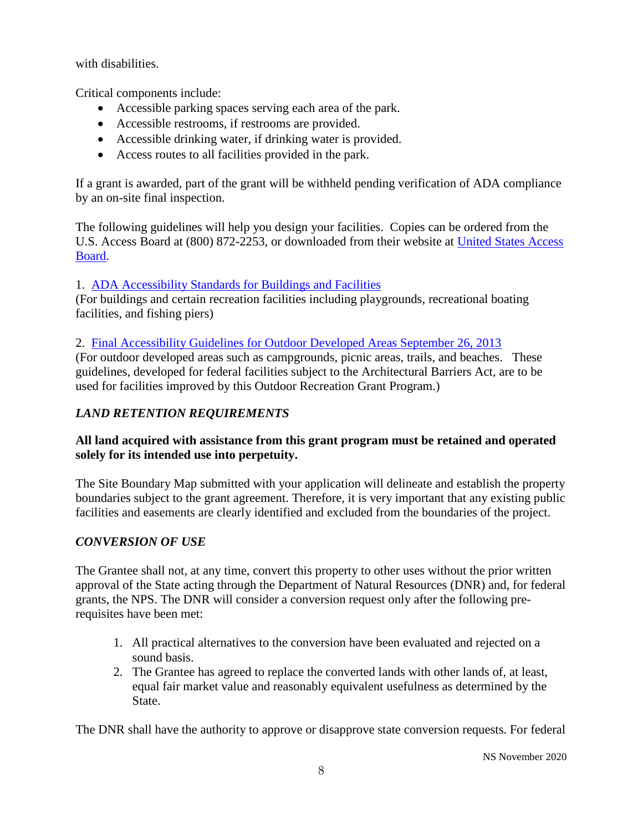with disabilities.

Critical components include:

- Accessible parking spaces serving each area of the park.
- Accessible restrooms, if restrooms are provided.
- Accessible drinking water, if drinking water is provided.
- Access routes to all facilities provided in the park.

If a grant is awarded, part of the grant will be withheld pending verification of ADA compliance by an on-site final inspection.

The following guidelines will help you design your facilities. Copies can be ordered from the U.S. Access Board at (800) 872-2253, or downloaded from their website at [United States Access](http://www.access-board.gov/)  [Board.](http://www.access-board.gov/)

#### 1. [ADA Accessibility Standards for Buildings and Facilities](https://www.access-board.gov/guidelines-and-standards/buildings-and-sites/about-the-ada-standards/ada-standards)

(For buildings and certain recreation facilities including playgrounds, recreational boating facilities, and fishing piers)

2. [Final Accessibility Guidelines for Outdoor Developed Areas September 26, 2013](http://www.access-board.gov/guidelines-and-standards/recreation-facilities/outdoor-developed-areas/final-guidelines-for-outdoor-developed-areas/text-of-the-guidelines)

(For outdoor developed areas such as campgrounds, picnic areas, trails, and beaches. These guidelines, developed for federal facilities subject to the Architectural Barriers Act, are to be used for facilities improved by this Outdoor Recreation Grant Program.)

# *LAND RETENTION REQUIREMENTS*

#### **All land acquired with assistance from this grant program must be retained and operated solely for its intended use into perpetuity.**

The Site Boundary Map submitted with your application will delineate and establish the property boundaries subject to the grant agreement. Therefore, it is very important that any existing public facilities and easements are clearly identified and excluded from the boundaries of the project.

# *CONVERSION OF USE*

The Grantee shall not, at any time, convert this property to other uses without the prior written approval of the State acting through the Department of Natural Resources (DNR) and, for federal grants, the NPS. The DNR will consider a conversion request only after the following prerequisites have been met:

- 1. All practical alternatives to the conversion have been evaluated and rejected on a sound basis.
- 2. The Grantee has agreed to replace the converted lands with other lands of, at least, equal fair market value and reasonably equivalent usefulness as determined by the State.

The DNR shall have the authority to approve or disapprove state conversion requests. For federal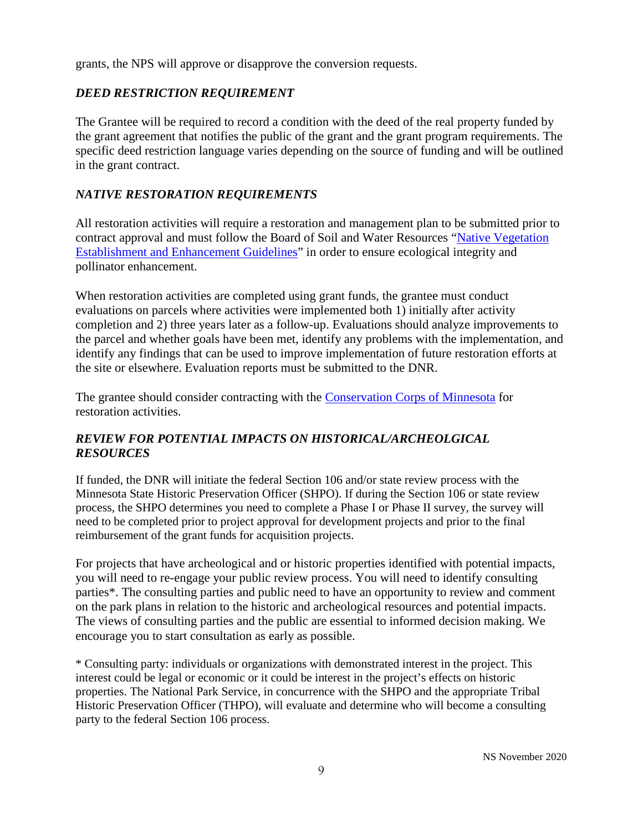grants, the NPS will approve or disapprove the conversion requests.

#### *DEED RESTRICTION REQUIREMENT*

The Grantee will be required to record a condition with the deed of the real property funded by the grant agreement that notifies the public of the grant and the grant program requirements. The specific deed restriction language varies depending on the source of funding and will be outlined in the grant contract.

#### *NATIVE RESTORATION REQUIREMENTS*

All restoration activities will require a restoration and management plan to be submitted prior to contract approval and must follow the Board of Soil and Water Resources ["Native Vegetation](https://bwsr.state.mn.us/vegetation-establishment-and-management#:%7E:text=Native%20Vegetation%20Establishment%20and%20Enhancement%20Guidelines%20%28pdf%29%20%28January,conservation%20projects.%20The%20guidelines%20are%20also%20designed%20to%3A)  [Establishment and Enhancement Guidelines"](https://bwsr.state.mn.us/vegetation-establishment-and-management#:%7E:text=Native%20Vegetation%20Establishment%20and%20Enhancement%20Guidelines%20%28pdf%29%20%28January,conservation%20projects.%20The%20guidelines%20are%20also%20designed%20to%3A) in order to ensure ecological integrity and pollinator enhancement.

When restoration activities are completed using grant funds, the grantee must conduct evaluations on parcels where activities were implemented both 1) initially after activity completion and 2) three years later as a follow-up. Evaluations should analyze improvements to the parcel and whether goals have been met, identify any problems with the implementation, and identify any findings that can be used to improve implementation of future restoration efforts at the site or elsewhere. Evaluation reports must be submitted to the DNR.

The grantee should consider contracting with the [Conservation Corps of Minnesota](https://www.conservationcorps.org/) for restoration activities.

#### *REVIEW FOR POTENTIAL IMPACTS ON HISTORICAL/ARCHEOLGICAL RESOURCES*

If funded, the DNR will initiate the federal Section 106 and/or state review process with the Minnesota State Historic Preservation Officer (SHPO). If during the Section 106 or state review process, the SHPO determines you need to complete a Phase I or Phase II survey, the survey will need to be completed prior to project approval for development projects and prior to the final reimbursement of the grant funds for acquisition projects.

For projects that have archeological and or historic properties identified with potential impacts, you will need to re-engage your public review process. You will need to identify consulting parties\*. The consulting parties and public need to have an opportunity to review and comment on the park plans in relation to the historic and archeological resources and potential impacts. The views of consulting parties and the public are essential to informed decision making. We encourage you to start consultation as early as possible.

\* Consulting party: individuals or organizations with demonstrated interest in the project. This interest could be legal or economic or it could be interest in the project's effects on historic properties. The National Park Service, in concurrence with the SHPO and the appropriate Tribal Historic Preservation Officer (THPO), will evaluate and determine who will become a consulting party to the federal Section 106 process.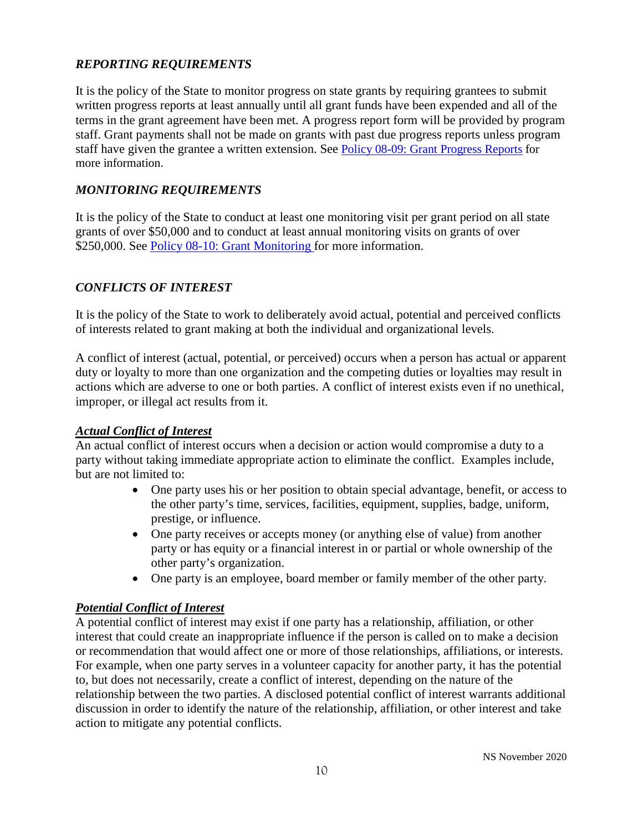# *REPORTING REQUIREMENTS*

It is the policy of the State to monitor progress on state grants by requiring grantees to submit written progress reports at least annually until all grant funds have been expended and all of the terms in the grant agreement have been met. A progress report form will be provided by program staff. Grant payments shall not be made on grants with past due progress reports unless program staff have given the grantee a written extension. See [Policy 08-09: Grant Progress Reports](http://mn.gov/admin/government/grants/policies-statutes-forms/) for more information.

#### *MONITORING REQUIREMENTS*

It is the policy of the State to conduct at least one monitoring visit per grant period on all state grants of over \$50,000 and to conduct at least annual monitoring visits on grants of over \$250,000. See [Policy 08-10: Grant Monitoring](https://mn.gov/admin/government/grants/policies-statutes-forms/) for more information.

#### *CONFLICTS OF INTEREST*

It is the policy of the State to work to deliberately avoid actual, potential and perceived conflicts of interests related to grant making at both the individual and organizational levels.

A conflict of interest (actual, potential, or perceived) occurs when a person has actual or apparent duty or loyalty to more than one organization and the competing duties or loyalties may result in actions which are adverse to one or both parties. A conflict of interest exists even if no unethical, improper, or illegal act results from it.

#### *Actual Conflict of Interest*

An actual conflict of interest occurs when a decision or action would compromise a duty to a party without taking immediate appropriate action to eliminate the conflict. Examples include, but are not limited to:

- One party uses his or her position to obtain special advantage, benefit, or access to the other party's time, services, facilities, equipment, supplies, badge, uniform, prestige, or influence.
- One party receives or accepts money (or anything else of value) from another party or has equity or a financial interest in or partial or whole ownership of the other party's organization.
- One party is an employee, board member or family member of the other party.

#### *Potential Conflict of Interest*

A potential conflict of interest may exist if one party has a relationship, affiliation, or other interest that could create an inappropriate influence if the person is called on to make a decision or recommendation that would affect one or more of those relationships, affiliations, or interests. For example, when one party serves in a volunteer capacity for another party, it has the potential to, but does not necessarily, create a conflict of interest, depending on the nature of the relationship between the two parties. A disclosed potential conflict of interest warrants additional discussion in order to identify the nature of the relationship, affiliation, or other interest and take action to mitigate any potential conflicts.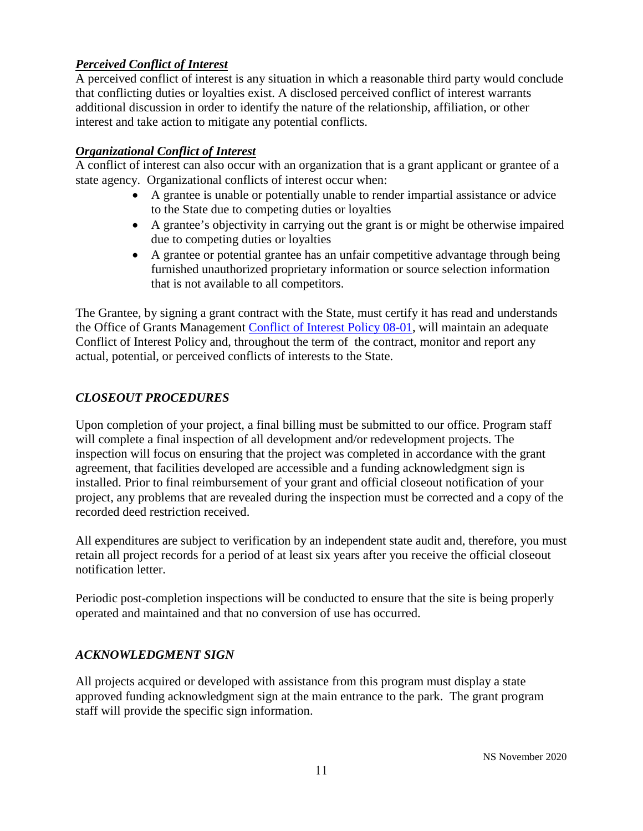#### *Perceived Conflict of Interest*

A perceived conflict of interest is any situation in which a reasonable third party would conclude that conflicting duties or loyalties exist. A disclosed perceived conflict of interest warrants additional discussion in order to identify the nature of the relationship, affiliation, or other interest and take action to mitigate any potential conflicts.

#### *Organizational Conflict of Interest*

A conflict of interest can also occur with an organization that is a grant applicant or grantee of a state agency. Organizational conflicts of interest occur when:

- A grantee is unable or potentially unable to render impartial assistance or advice to the State due to competing duties or loyalties
- A grantee's objectivity in carrying out the grant is or might be otherwise impaired due to competing duties or loyalties
- A grantee or potential grantee has an unfair competitive advantage through being furnished unauthorized proprietary information or source selection information that is not available to all competitors.

The Grantee, by signing a grant contract with the State, must certify it has read and understands the Office of Grants Management [Conflict of Interest Policy 08-01,](https://mn.gov/admin/government/grants/policies-statutes-forms/) will maintain an adequate Conflict of Interest Policy and, throughout the term of the contract, monitor and report any actual, potential, or perceived conflicts of interests to the State.

# *CLOSEOUT PROCEDURES*

Upon completion of your project, a final billing must be submitted to our office. Program staff will complete a final inspection of all development and/or redevelopment projects. The inspection will focus on ensuring that the project was completed in accordance with the grant agreement, that facilities developed are accessible and a funding acknowledgment sign is installed. Prior to final reimbursement of your grant and official closeout notification of your project, any problems that are revealed during the inspection must be corrected and a copy of the recorded deed restriction received.

All expenditures are subject to verification by an independent state audit and, therefore, you must retain all project records for a period of at least six years after you receive the official closeout notification letter.

Periodic post-completion inspections will be conducted to ensure that the site is being properly operated and maintained and that no conversion of use has occurred.

#### *ACKNOWLEDGMENT SIGN*

All projects acquired or developed with assistance from this program must display a state approved funding acknowledgment sign at the main entrance to the park. The grant program staff will provide the specific sign information.